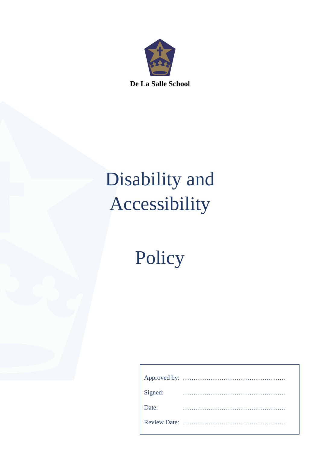

# Disability and Accessibility

Policy

| Signed: |  |  |  |  |  |  |  |  |  |  |  |  |  |  |  |  |  |  |
|---------|--|--|--|--|--|--|--|--|--|--|--|--|--|--|--|--|--|--|
| Date:   |  |  |  |  |  |  |  |  |  |  |  |  |  |  |  |  |  |  |
|         |  |  |  |  |  |  |  |  |  |  |  |  |  |  |  |  |  |  |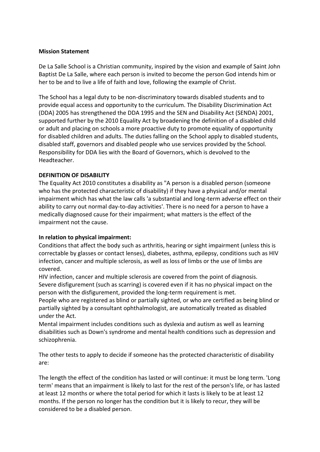#### **Mission Statement**

De La Salle School is a Christian community, inspired by the vision and example of Saint John Baptist De La Salle, where each person is invited to become the person God intends him or her to be and to live a life of faith and love, following the example of Christ.

The School has a legal duty to be non-discriminatory towards disabled students and to provide equal access and opportunity to the curriculum. The Disability Discrimination Act (DDA) 2005 has strengthened the DDA 1995 and the SEN and Disability Act (SENDA) 2001, supported further by the 2010 Equality Act by broadening the definition of a disabled child or adult and placing on schools a more proactive duty to promote equality of opportunity for disabled children and adults. The duties falling on the School apply to disabled students, disabled staff, governors and disabled people who use services provided by the School. Responsibility for DDA lies with the Board of Governors, which is devolved to the Headteacher.

# **DEFINITION OF DISABILITY**

The Equality Act 2010 constitutes a disability as "A person is a disabled person (someone who has the protected characteristic of disability) if they have a physical and/or mental impairment which has what the law calls 'a substantial and long-term adverse effect on their ability to carry out normal day-to-day activities'. There is no need for a person to have a medically diagnosed cause for their impairment; what matters is the effect of the impairment not the cause.

# **In relation to physical impairment:**

Conditions that affect the body such as arthritis, hearing or sight impairment (unless this is correctable by glasses or contact lenses), diabetes, asthma, epilepsy, conditions such as HIV infection, cancer and multiple sclerosis, as well as loss of limbs or the use of limbs are covered.

HIV infection, cancer and multiple sclerosis are covered from the point of diagnosis. Severe disfigurement (such as scarring) is covered even if it has no physical impact on the person with the disfigurement, provided the long-term requirement is met.

People who are registered as blind or partially sighted, or who are certified as being blind or partially sighted by a consultant ophthalmologist, are automatically treated as disabled under the Act.

Mental impairment includes conditions such as dyslexia and autism as well as learning disabilities such as Down's syndrome and mental health conditions such as depression and schizophrenia.

The other tests to apply to decide if someone has the protected characteristic of disability are:

The length the effect of the condition has lasted or will continue: it must be long term. 'Long term' means that an impairment is likely to last for the rest of the person's life, or has lasted at least 12 months or where the total period for which it lasts is likely to be at least 12 months. If the person no longer has the condition but it is likely to recur, they will be considered to be a disabled person.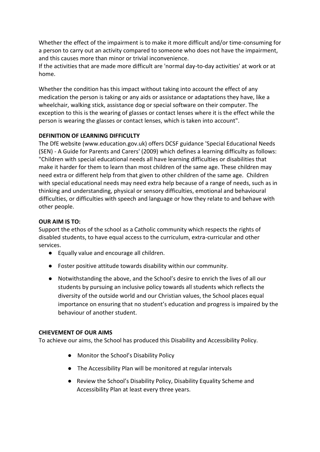Whether the effect of the impairment is to make it more difficult and/or time-consuming for a person to carry out an activity compared to someone who does not have the impairment, and this causes more than minor or trivial inconvenience.

If the activities that are made more difficult are 'normal day-to-day activities' at work or at home.

Whether the condition has this impact without taking into account the effect of any medication the person is taking or any aids or assistance or adaptations they have, like a wheelchair, walking stick, assistance dog or special software on their computer. The exception to this is the wearing of glasses or contact lenses where it is the effect while the person is wearing the glasses or contact lenses, which is taken into account".

# **DEFINITION OF LEARNING DIFFICULTY**

The DfE website (www.education.gov.uk) offers DCSF guidance 'Special Educational Needs (SEN) - A Guide for Parents and Carers' (2009) which defines a learning difficulty as follows: "Children with special educational needs all have learning difficulties or disabilities that make it harder for them to learn than most children of the same age. These children may need extra or different help from that given to other children of the same age. Children with special educational needs may need extra help because of a range of needs, such as in thinking and understanding, physical or sensory difficulties, emotional and behavioural difficulties, or difficulties with speech and language or how they relate to and behave with other people.

# **OUR AIM IS TO:**

Support the ethos of the school as a Catholic community which respects the rights of disabled students, to have equal access to the curriculum, extra-curricular and other services.

- Equally value and encourage all children.
- Foster positive attitude towards disability within our community.
- Notwithstanding the above, and the School's desire to enrich the lives of all our students by pursuing an inclusive policy towards all students which reflects the diversity of the outside world and our Christian values, the School places equal importance on ensuring that no student's education and progress is impaired by the behaviour of another student.

# **CHIEVEMENT OF OUR AIMS**

To achieve our aims, the School has produced this Disability and Accessibility Policy.

- Monitor the School's Disability Policy
- The Accessibility Plan will be monitored at regular intervals
- Review the School's Disability Policy, Disability Equality Scheme and Accessibility Plan at least every three years.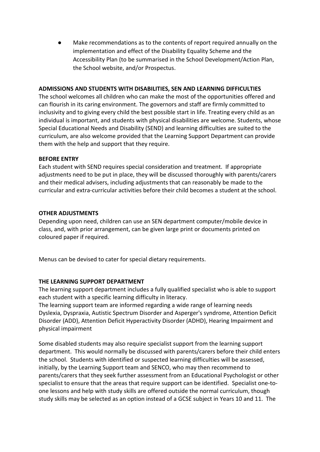Make recommendations as to the contents of report required annually on the implementation and effect of the Disability Equality Scheme and the Accessibility Plan (to be summarised in the School Development/Action Plan, the School website, and/or Prospectus.

#### **ADMISSIONS AND STUDENTS WITH DISABILITIES, SEN AND LEARNING DIFFICULTIES**

The school welcomes all children who can make the most of the opportunities offered and can flourish in its caring environment. The governors and staff are firmly committed to inclusivity and to giving every child the best possible start in life. Treating every child as an individual is important, and students with physical disabilities are welcome. Students, whose Special Educational Needs and Disability (SEND) and learning difficulties are suited to the curriculum, are also welcome provided that the Learning Support Department can provide them with the help and support that they require.

#### **BEFORE ENTRY**

Each student with SEND requires special consideration and treatment. If appropriate adjustments need to be put in place, they will be discussed thoroughly with parents/carers and their medical advisers, including adjustments that can reasonably be made to the curricular and extra-curricular activities before their child becomes a student at the school.

#### **OTHER ADJUSTMENTS**

Depending upon need, children can use an SEN department computer/mobile device in class, and, with prior arrangement, can be given large print or documents printed on coloured paper if required.

Menus can be devised to cater for special dietary requirements.

#### **THE LEARNING SUPPORT DEPARTMENT**

The learning support department includes a fully qualified specialist who is able to support each student with a specific learning difficulty in literacy.

The learning support team are informed regarding a wide range of learning needs Dyslexia, Dyspraxia, Autistic Spectrum Disorder and Asperger's syndrome, Attention Deficit Disorder (ADD), Attention Deficit Hyperactivity Disorder (ADHD), Hearing Impairment and physical impairment

Some disabled students may also require specialist support from the learning support department. This would normally be discussed with parents/carers before their child enters the school. Students with identified or suspected learning difficulties will be assessed, initially, by the Learning Support team and SENCO, who may then recommend to parents/carers that they seek further assessment from an Educational Psychologist or other specialist to ensure that the areas that require support can be identified. Specialist one-toone lessons and help with study skills are offered outside the normal curriculum, though study skills may be selected as an option instead of a GCSE subject in Years 10 and 11. The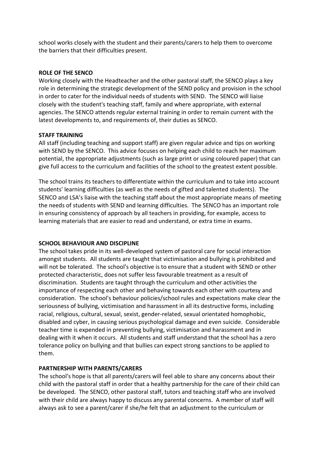school works closely with the student and their parents/carers to help them to overcome the barriers that their difficulties present.

#### **ROLE OF THE SENCO**

Working closely with the Headteacher and the other pastoral staff, the SENCO plays a key role in determining the strategic development of the SEND policy and provision in the school in order to cater for the individual needs of students with SEND. The SENCO will liaise closely with the student's teaching staff, family and where appropriate, with external agencies. The SENCO attends regular external training in order to remain current with the latest developments to, and requirements of, their duties as SENCO.

#### **STAFF TRAINING**

All staff (including teaching and support staff) are given regular advice and tips on working with SEND by the SENCO. This advice focuses on helping each child to reach her maximum potential, the appropriate adjustments (such as large print or using coloured paper) that can give full access to the curriculum and facilities of the school to the greatest extent possible.

The school trains its teachers to differentiate within the curriculum and to take into account students' learning difficulties (as well as the needs of gifted and talented students). The SENCO and LSA's liaise with the teaching staff about the most appropriate means of meeting the needs of students with SEND and learning difficulties. The SENCO has an important role in ensuring consistency of approach by all teachers in providing, for example, access to learning materials that are easier to read and understand, or extra time in exams.

# **SCHOOL BEHAVIOUR AND DISCIPLINE**

The school takes pride in its well-developed system of pastoral care for social interaction amongst students. All students are taught that victimisation and bullying is prohibited and will not be tolerated. The school's objective is to ensure that a student with SEND or other protected characteristic, does not suffer less favourable treatment as a result of discrimination. Students are taught through the curriculum and other activities the importance of respecting each other and behaving towards each other with courtesy and consideration. The school's behaviour policies/school rules and expectations make clear the seriousness of bullying, victimisation and harassment in all its destructive forms, including racial, religious, cultural, sexual, sexist, gender-related, sexual orientated homophobic, disabled and cyber, in causing serious psychological damage and even suicide. Considerable teacher time is expended in preventing bullying, victimisation and harassment and in dealing with it when it occurs. All students and staff understand that the school has a zero tolerance policy on bullying and that bullies can expect strong sanctions to be applied to them.

#### **PARTNERSHIP WITH PARENTS/CARERS**

The school's hope is that all parents/carers will feel able to share any concerns about their child with the pastoral staff in order that a healthy partnership for the care of their child can be developed. The SENCO, other pastoral staff, tutors and teaching staff who are involved with their child are always happy to discuss any parental concerns. A member of staff will always ask to see a parent/carer if she/he felt that an adjustment to the curriculum or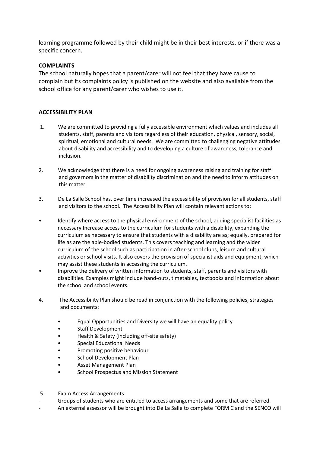learning programme followed by their child might be in their best interests, or if there was a specific concern.

#### **COMPLAINTS**

The school naturally hopes that a parent/carer will not feel that they have cause to complain but its complaints policy is published on the website and also available from the school office for any parent/carer who wishes to use it.

#### **ACCESSIBILITY PLAN**

- 1. We are committed to providing a fully accessible environment which values and includes all students, staff, parents and visitors regardless of their education, physical, sensory, social, spiritual, emotional and cultural needs. We are committed to challenging negative attitudes about disability and accessibility and to developing a culture of awareness, tolerance and inclusion.
- 2. We acknowledge that there is a need for ongoing awareness raising and training for staff and governors in the matter of disability discrimination and the need to inform attitudes on this matter.
- 3. De La Salle School has, over time increased the accessibility of provision for all students, staff and visitors to the school. The Accessibility Plan will contain relevant actions to:
- Identify where access to the physical environment of the school, adding specialist facilities as necessary Increase access to the curriculum for students with a disability, expanding the curriculum as necessary to ensure that students with a disability are as; equally, prepared for life as are the able-bodied students. This covers teaching and learning and the wider curriculum of the school such as participation in after-school clubs, leisure and cultural activities or school visits. It also covers the provision of specialist aids and equipment, which may assist these students in accessing the curriculum.
- Improve the delivery of written information to students, staff, parents and visitors with disabilities. Examples might include hand-outs, timetables, textbooks and information about the school and school events.
- 4. The Accessibility Plan should be read in conjunction with the following policies, strategies and documents:
	- Equal Opportunities and Diversity we will have an equality policy
	- Staff Development
	- Health & Safety (including off-site safety)
	- Special Educational Needs
	- Promoting positive behaviour
	- School Development Plan
	- Asset Management Plan
	- School Prospectus and Mission Statement
- 5. Exam Access Arrangements
- Groups of students who are entitled to access arrangements and some that are referred.
- An external assessor will be brought into De La Salle to complete FORM C and the SENCO will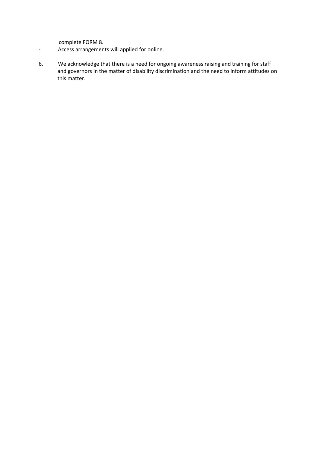complete FORM 8.

- Access arrangements will applied for online.
- 6. We acknowledge that there is a need for ongoing awareness raising and training for staff and governors in the matter of disability discrimination and the need to inform attitudes on this matter.